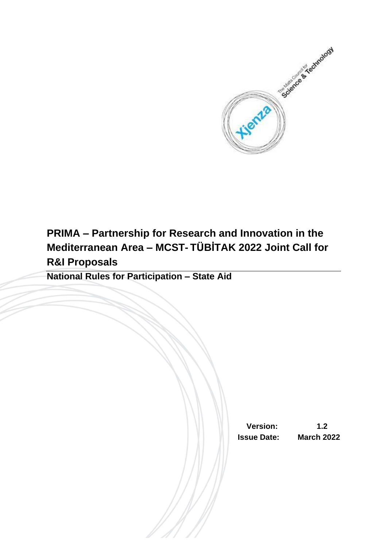

# **PRIMA – Partnership for Research and Innovation in the Mediterranean Area – MCST- TÜBİTAK 2022 Joint Call for R&I Proposals**

**National Rules for Participation – State Aid**

 **Version: 1.2 Issue Date: March 2022**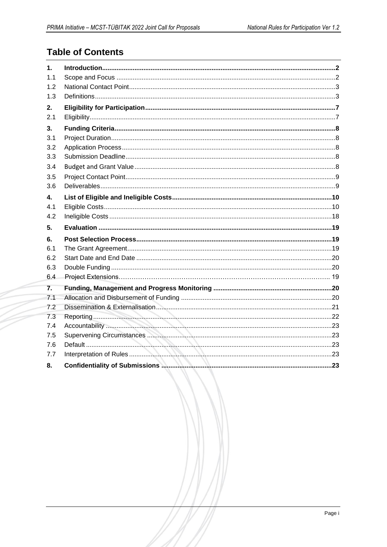# **Table of Contents**

| $\mathbf{1}$ . |  |
|----------------|--|
| 1.1            |  |
| 1.2            |  |
| 1.3            |  |
| 2.             |  |
| 2.1            |  |
| 3.             |  |
| 3.1            |  |
| 3.2            |  |
| 3.3            |  |
| 3.4            |  |
| 3.5            |  |
| 3.6            |  |
| 4.             |  |
| 4.1            |  |
| 4.2            |  |
|                |  |
| 5.             |  |
| 6.             |  |
| 6.1            |  |
| 6.2            |  |
| 6.3            |  |
| 6.4            |  |
| 7.             |  |
| 7.1            |  |
| 7.2            |  |
| 7.3            |  |
| 7.4            |  |
| 7.5            |  |
| 7.6            |  |
| 7.7            |  |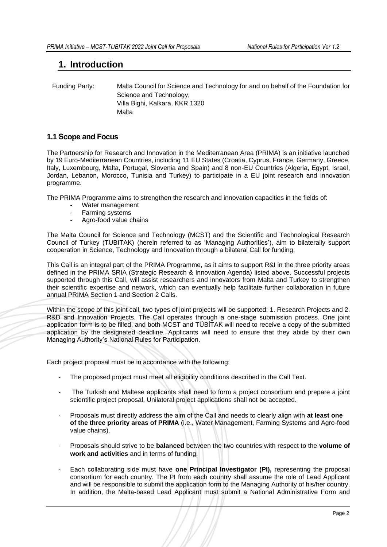# <span id="page-2-0"></span>**1. Introduction**

 Funding Party: Malta Council for Science and Technology for and on behalf of the Foundation for Science and Technology, Villa Bighi, Kalkara, KKR 1320 Malta

# <span id="page-2-1"></span>**1.1 Scope and Focus**

The Partnership for Research and Innovation in the Mediterranean Area (PRIMA) is an initiative launched by 19 Euro-Mediterranean Countries, including 11 EU States (Croatia, Cyprus, France, Germany, Greece, Italy, Luxembourg, Malta, Portugal, Slovenia and Spain) and 8 non-EU Countries (Algeria, Egypt, Israel, Jordan, Lebanon, Morocco, Tunisia and Turkey) to participate in a EU joint research and innovation programme.

The PRIMA Programme aims to strengthen the research and innovation capacities in the fields of:

- Water management
- Farming systems
- Agro-food value chains

The Malta Council for Science and Technology (MCST) and the Scientific and Technological Research Council of Turkey (TUBITAK) (herein referred to as 'Managing Authorities'), aim to bilaterally support cooperation in Science, Technology and Innovation through a bilateral Call for funding.

This Call is an integral part of the PRIMA Programme, as it aims to support R&I in the three priority areas defined in the PRIMA SRIA (Strategic Research & Innovation Agenda) listed above. Successful projects supported through this Call, will assist researchers and innovators from Malta and Turkey to strengthen their scientific expertise and network, which can eventually help facilitate further collaboration in future annual PRIMA Section 1 and Section 2 Calls.

Within the scope of this joint call, two types of joint projects will be supported: 1. Research Projects and 2. R&D and Innovation Projects. The Call operates through a one-stage submission process. One joint application form is to be filled, and both MCST and TÜBİTAK will need to receive a copy of the submitted application by the designated deadline. Applicants will need to ensure that they abide by their own Managing Authority's National Rules for Participation.

Each project proposal must be in accordance with the following:

- The proposed project must meet all eligibility conditions described in the Call Text.
- The Turkish and Maltese applicants shall need to form a project consortium and prepare a joint scientific project proposal. Unilateral project applications shall not be accepted.
- Proposals must directly address the aim of the Call and needs to clearly align with **at least one of the three priority areas of PRIMA** (i.e., Water Management, Farming Systems and Agro-food value chains).
- Proposals should strive to be **balanced** between the two countries with respect to the **volume of work and activities** and in terms of funding.
- Each collaborating side must have **one Principal Investigator (PI),** representing the proposal consortium for each country. The PI from each country shall assume the role of Lead Applicant and will be responsible to submit the application form to the Managing Authority of his/her country. In addition, the Malta-based Lead Applicant must submit a National Administrative Form and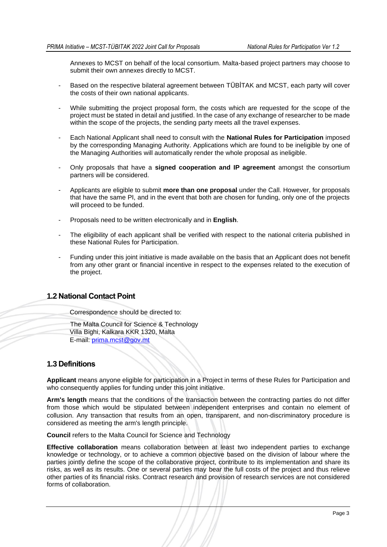Annexes to MCST on behalf of the local consortium. Malta-based project partners may choose to submit their own annexes directly to MCST.

- Based on the respective bilateral agreement between TÜBİTAK and MCST, each party will cover the costs of their own national applicants.
- While submitting the project proposal form, the costs which are requested for the scope of the project must be stated in detail and justified. In the case of any exchange of researcher to be made within the scope of the projects, the sending party meets all the travel expenses.
- Each National Applicant shall need to consult with the **National Rules for Participation** imposed by the corresponding Managing Authority. Applications which are found to be ineligible by one of the Managing Authorities will automatically render the whole proposal as ineligible.
- Only proposals that have a **signed cooperation and IP agreement** amongst the consortium partners will be considered.
- Applicants are eligible to submit **more than one proposal** under the Call. However, for proposals that have the same PI, and in the event that both are chosen for funding, only one of the projects will proceed to be funded.
- Proposals need to be written electronically and in **English**.
- The eligibility of each applicant shall be verified with respect to the national criteria published in these National Rules for Participation.
- Funding under this joint initiative is made available on the basis that an Applicant does not benefit from any other grant or financial incentive in respect to the expenses related to the execution of the project.

# <span id="page-3-0"></span>**1.2 National Contact Point**

Correspondence should be directed to:

The Malta Council for Science & Technology Villa Bighi, Kalkara KKR 1320, Malta E-mail: [prima.mcst@gov.mt](mailto:prima.mcst@gov.mt)

# <span id="page-3-1"></span>**1.3 Definitions**

**Applicant** means anyone eligible for participation in a Project in terms of these Rules for Participation and who consequently applies for funding under this joint initiative.

**Arm's length** means that the conditions of the transaction between the contracting parties do not differ from those which would be stipulated between independent enterprises and contain no element of collusion. Any transaction that results from an open, transparent, and non-discriminatory procedure is considered as meeting the arm's length principle.

**Council** refers to the Malta Council for Science and Technology

**Effective collaboration** means collaboration between at least two independent parties to exchange knowledge or technology, or to achieve a common objective based on the division of labour where the parties jointly define the scope of the collaborative project, contribute to its implementation and share its risks, as well as its results. One or several parties may bear the full costs of the project and thus relieve other parties of its financial risks. Contract research and provision of research services are not considered forms of collaboration.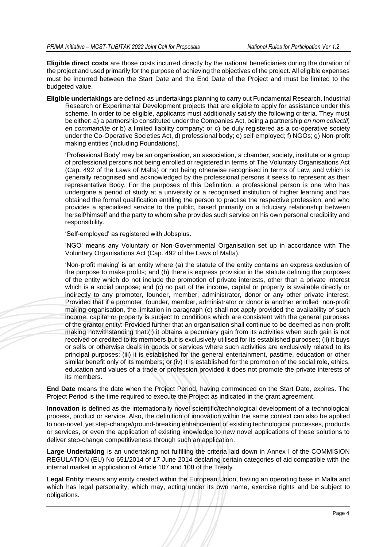**Eligible direct costs** are those costs incurred directly by the national beneficiaries during the duration of the project and used primarily for the purpose of achieving the objectives of the project. All eligible expenses must be incurred between the Start Date and the End Date of the Project and must be limited to the budgeted value.

**Eligible undertakings** are defined as undertakings planning to carry out Fundamental Research, Industrial Research or Experimental Development projects that are eligible to apply for assistance under this scheme. In order to be eligible, applicants must additionally satisfy the following criteria. They must be either: a) a partnership constituted under the Companies Act, being a partnership *en nom collectif, en commandite* or b) a limited liability company; or c) be duly registered as a co-operative society under the Co-Operative Societies Act, d) professional body; e) self-employed; f) NGOs; g) Non-profit making entities (including Foundations).

'Professional Body' may be an organisation, an association, a chamber, society, institute or a group of professional persons not being enrolled or registered in terms of The Voluntary Organisations Act (Cap. 492 of the Laws of Malta) or not being otherwise recognised in terms of Law, and which is generally recognised and acknowledged by the professional persons it seeks to represent as their representative Body. For the purposes of this Definition, a professional person is one who has undergone a period of study at a university or a recognised institution of higher learning and has obtained the formal qualification entitling the person to practise the respective profession; and who provides a specialised service to the public, based primarily on a fiduciary relationship between herself/himself and the party to whom s/he provides such service on his own personal credibility and responsibility.

'Self-employed' as registered with Jobsplus.

'NGO' means any Voluntary or Non-Governmental Organisation set up in accordance with The Voluntary Organisations Act (Cap. 492 of the Laws of Malta).

'Non-profit making' is an entity where (a) the statute of the entity contains an express exclusion of the purpose to make profits; and (b) there is express provision in the statute defining the purposes of the entity which do not include the promotion of private interests, other than a private interest which is a social purpose; and (c) no part of the income, capital or property is available directly or indirectly to any promoter, founder, member, administrator, donor or any other private interest. Provided that if a promoter, founder, member, administrator or donor is another enrolled non-profit making organisation, the limitation in paragraph (c) shall not apply provided the availability of such income, capital or property is subject to conditions which are consistent with the general purposes of the grantor entity: Provided further that an organisation shall continue to be deemed as non-profit making notwithstanding that:(i) it obtains a pecuniary gain from its activities when such gain is not received or credited to its members but is exclusively utilised for its established purposes; (ii) it buys or sells or otherwise deals in goods or services where such activities are exclusively related to its principal purposes; (iii) it is established for the general entertainment, pastime, education or other similar benefit only of its members; or (iv) it is established for the promotion of the social role, ethics, education and values of a trade or profession provided it does not promote the private interests of its members.

**End Date** means the date when the Project Period, having commenced on the Start Date, expires. The Project Period is the time required to execute the Project as indicated in the grant agreement.

**Innovation** is defined as the internationally novel scientific/technological development of a technological process, product or service. Also, the definition of innovation within the same context can also be applied to non-novel, yet step-change/ground-breaking enhancement of existing technological processes, products or services, or even the application of existing knowledge to new novel applications of these solutions to deliver step-change competitiveness through such an application.

**Large Undertaking** is an undertaking not fulfilling the criteria laid down in Annex I of the COMMISION REGULATION (EU) No 651/2014 of 17 June 2014 declaring certain categories of aid compatible with the internal market in application of Article 107 and 108 of the Treaty.

**Legal Entity** means any entity created within the European Union, having an operating base in Malta and which has legal personality, which may, acting under its own name, exercise rights and be subject to obligations.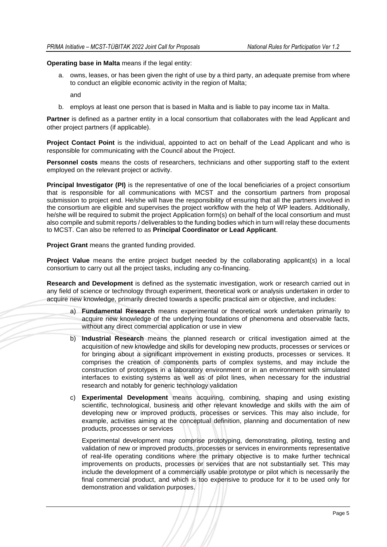**Operating base in Malta** means if the legal entity:

a. owns, leases, or has been given the right of use by a third party, an adequate premise from where to conduct an eligible economic activity in the region of Malta;

and

b. employs at least one person that is based in Malta and is liable to pay income tax in Malta.

**Partner** is defined as a partner entity in a local consortium that collaborates with the lead Applicant and other project partners (if applicable).

**Project Contact Point** is the individual, appointed to act on behalf of the Lead Applicant and who is responsible for communicating with the Council about the Project.

**Personnel costs** means the costs of researchers, technicians and other supporting staff to the extent employed on the relevant project or activity.

**Principal Investigator (PI)** is the representative of one of the local beneficiaries of a project consortium that is responsible for all communications with MCST and the consortium partners from proposal submission to project end. He/she will have the responsibility of ensuring that all the partners involved in the consortium are eligible and supervises the project workflow with the help of WP leaders. Additionally, he/she will be required to submit the project Application form(s) on behalf of the local consortium and must also compile and submit reports / deliverables to the funding bodies which in turn will relay these documents to MCST. Can also be referred to as **Principal Coordinator or Lead Applicant**.

**Project Grant** means the granted funding provided.

**Project Value** means the entire project budget needed by the collaborating applicant(s) in a local consortium to carry out all the project tasks, including any co-financing.

**Research and Development** is defined as the systematic investigation, work or research carried out in any field of science or technology through experiment, theoretical work or analysis undertaken in order to acquire new knowledge, primarily directed towards a specific practical aim or objective, and includes:

- a) **Fundamental Research** means experimental or theoretical work undertaken primarily to acquire new knowledge of the underlying foundations of phenomena and observable facts, without any direct commercial application or use in view
- b) **Industrial Research** means the planned research or critical investigation aimed at the acquisition of new knowledge and skills for developing new products, processes or services or for bringing about a significant improvement in existing products, processes or services. It comprises the creation of components parts of complex systems, and may include the construction of prototypes in a laboratory environment or in an environment with simulated interfaces to existing systems as well as of pilot lines, when necessary for the industrial research and notably for generic technology validation
- c) **Experimental Development** means acquiring, combining, shaping and using existing scientific, technological, business and other relevant knowledge and skills with the aim of developing new or improved products, processes or services. This may also include, for example, activities aiming at the conceptual definition, planning and documentation of new products, processes or services

Experimental development may comprise prototyping, demonstrating, piloting, testing and validation of new or improved products, processes or services in environments representative of real-life operating conditions where the primary objective is to make further technical improvements on products, processes or services that are not substantially set. This may include the development of a commercially usable prototype or pilot which is necessarily the final commercial product, and which is too expensive to produce for it to be used only for demonstration and validation purposes.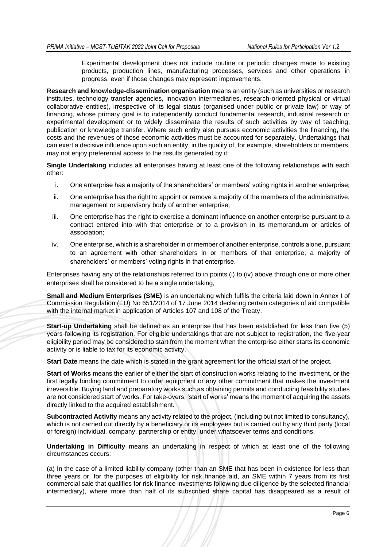Experimental development does not include routine or periodic changes made to existing products, production lines, manufacturing processes, services and other operations in progress, even if those changes may represent improvements.

**Research and knowledge-dissemination organisation** means an entity (such as universities or research institutes, technology transfer agencies, innovation intermediaries, research-oriented physical or virtual collaborative entities), irrespective of its legal status (organised under public or private law) or way of financing, whose primary goal is to independently conduct fundamental research, industrial research or experimental development or to widely disseminate the results of such activities by way of teaching, publication or knowledge transfer. Where such entity also pursues economic activities the financing, the costs and the revenues of those economic activities must be accounted for separately. Undertakings that can exert a decisive influence upon such an entity, in the quality of, for example, shareholders or members, may not enjoy preferential access to the results generated by it;

**Single Undertaking** includes all enterprises having at least one of the following relationships with each other:

- i. One enterprise has a majority of the shareholders' or members' voting rights in another enterprise;
- ii. One enterprise has the right to appoint or remove a majority of the members of the administrative, management or supervisory body of another enterprise;
- iii. One enterprise has the right to exercise a dominant influence on another enterprise pursuant to a contract entered into with that enterprise or to a provision in its memorandum or articles of association;
- iv. One enterprise, which is a shareholder in or member of another enterprise, controls alone, pursuant to an agreement with other shareholders in or members of that enterprise, a majority of shareholders' or members' voting rights in that enterprise.

Enterprises having any of the relationships referred to in points (i) to (iv) above through one or more other enterprises shall be considered to be a single undertaking,

**Small and Medium Enterprises (SME)** is an undertaking which fulfils the criteria laid down in Annex I of Commission Regulation (EU) No 651/2014 of 17 June 2014 declaring certain categories of aid compatible with the internal market in application of Articles 107 and 108 of the Treaty.

**Start-up Undertaking** shall be defined as an enterprise that has been established for less than five (5) years following its registration. For eligible undertakings that are not subject to registration, the five-year eligibility period may be considered to start from the moment when the enterprise either starts its economic activity or is liable to tax for its economic activity.

**Start Date** means the date which is stated in the grant agreement for the official start of the project.

**Start of Works** means the earlier of either the start of construction works relating to the investment, or the first legally binding commitment to order equipment or any other commitment that makes the investment irreversible. Buying land and preparatory works such as obtaining permits and conducting feasibility studies are not considered start of works. For take-overs, 'start of works' means the moment of acquiring the assets directly linked to the acquired establishment.

**Subcontracted Activity** means any activity related to the project, (including but not limited to consultancy), which is not carried out directly by a beneficiary or its employees but is carried out by any third party (local or foreign) individual, company, partnership or entity, under whatsoever terms and conditions.

**Undertaking in Difficulty** means an undertaking in respect of which at least one of the following circumstances occurs:

(a) In the case of a limited liability company (other than an SME that has been in existence for less than three years or, for the purposes of eligibility for risk finance aid, an SME within 7 years from its first commercial sale that qualifies for risk finance investments following due diligence by the selected financial intermediary), where more than half of its subscribed share capital has disappeared as a result of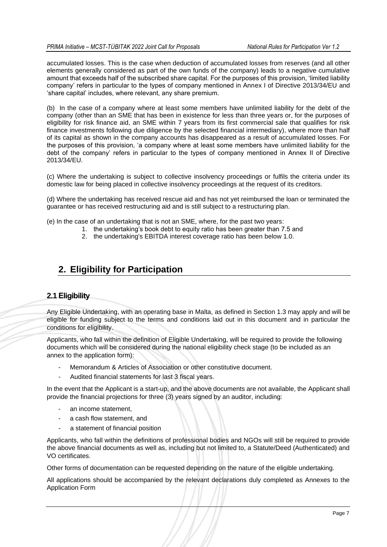accumulated losses. This is the case when deduction of accumulated losses from reserves (and all other elements generally considered as part of the own funds of the company) leads to a negative cumulative amount that exceeds half of the subscribed share capital. For the purposes of this provision, 'limited liability company' refers in particular to the types of company mentioned in Annex I of Directive 2013/34/EU and 'share capital' includes, where relevant, any share premium.

(b) In the case of a company where at least some members have unlimited liability for the debt of the company (other than an SME that has been in existence for less than three years or, for the purposes of eligibility for risk finance aid, an SME within 7 years from its first commercial sale that qualifies for risk finance investments following due diligence by the selected financial intermediary), where more than half of its capital as shown in the company accounts has disappeared as a result of accumulated losses. For the purposes of this provision, 'a company where at least some members have unlimited liability for the debt of the company' refers in particular to the types of company mentioned in Annex II of Directive 2013/34/EU.

(c) Where the undertaking is subject to collective insolvency proceedings or fulfils the criteria under its domestic law for being placed in collective insolvency proceedings at the request of its creditors.

(d) Where the undertaking has received rescue aid and has not yet reimbursed the loan or terminated the guarantee or has received restructuring aid and is still subject to a restructuring plan.

- (e) In the case of an undertaking that is not an SME, where, for the past two years:
	- 1. the undertaking's book debt to equity ratio has been greater than 7.5 and
	- 2. the undertaking's EBITDA interest coverage ratio has been below 1.0.

# <span id="page-7-0"></span>**2. Eligibility for Participation**

# <span id="page-7-1"></span>**2.1 Eligibility**

Any Eligible Undertaking, with an operating base in Malta, as defined in Section 1.3 may apply and will be eligible for funding subject to the terms and conditions laid out in this document and in particular the conditions for eligibility.

Applicants, who fall within the definition of Eligible Undertaking, will be required to provide the following documents which will be considered during the national eligibility check stage (to be included as an annex to the application form):

- Memorandum & Articles of Association or other constitutive document.
- Audited financial statements for last 3 fiscal years.

In the event that the Applicant is a start-up, and the above documents are not available, the Applicant shall provide the financial projections for three (3) years signed by an auditor, including:

- an income statement.
- a cash flow statement, and
- a statement of financial position

Applicants, who fall within the definitions of professional bodies and NGOs will still be required to provide the above financial documents as well as, including but not limited to, a Statute/Deed (Authenticated) and VO certificates.

Other forms of documentation can be requested depending on the nature of the eligible undertaking.

All applications should be accompanied by the relevant declarations duly completed as Annexes to the Application Form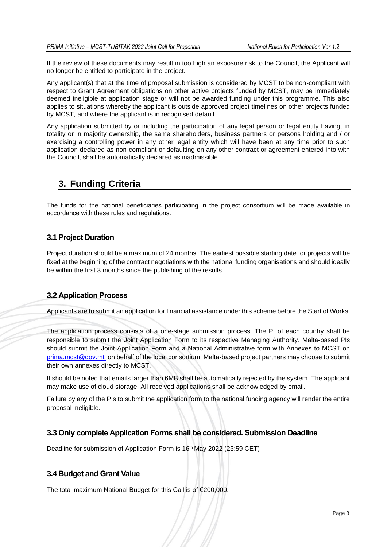If the review of these documents may result in too high an exposure risk to the Council, the Applicant will no longer be entitled to participate in the project.

Any applicant(s) that at the time of proposal submission is considered by MCST to be non-compliant with respect to Grant Agreement obligations on other active projects funded by MCST, may be immediately deemed ineligible at application stage or will not be awarded funding under this programme. This also applies to situations whereby the applicant is outside approved project timelines on other projects funded by MCST, and where the applicant is in recognised default.

Any application submitted by or including the participation of any legal person or legal entity having, in totality or in majority ownership, the same shareholders, business partners or persons holding and / or exercising a controlling power in any other legal entity which will have been at any time prior to such application declared as non-compliant or defaulting on any other contract or agreement entered into with the Council, shall be automatically declared as inadmissible.

# <span id="page-8-0"></span>**3. Funding Criteria**

The funds for the national beneficiaries participating in the project consortium will be made available in accordance with these rules and regulations.

# <span id="page-8-1"></span>**3.1 Project Duration**

Project duration should be a maximum of 24 months. The earliest possible starting date for projects will be fixed at the beginning of the contract negotiations with the national funding organisations and should ideally be within the first 3 months since the publishing of the results.

# <span id="page-8-2"></span>**3.2 Application Process**

Applicants are to submit an application for financial assistance under this scheme before the Start of Works.

The application process consists of a one-stage submission process. The PI of each country shall be responsible to submit the Joint Application Form to its respective Managing Authority. Malta-based PIs should submit the Joint Application Form and a National Administrative form with Annexes to MCST on [prima.mcst@gov.mt](mailto:prima.mcst@gov.mt) on behalf of the local consortium. Malta-based project partners may choose to submit their own annexes directly to MCST.

It should be noted that emails larger than 6MB shall be automatically rejected by the system. The applicant may make use of cloud storage. All received applications shall be acknowledged by email.

Failure by any of the PIs to submit the application form to the national funding agency will render the entire proposal ineligible.

# <span id="page-8-3"></span>**3.3 Only complete Application Forms shall be considered. Submission Deadline**

Deadline for submission of Application Form is 16<sup>th</sup> May 2022 (23:59 CET)

# <span id="page-8-4"></span>**3.4 Budget and Grant Value**

The total maximum National Budget for this Call is of €200,000.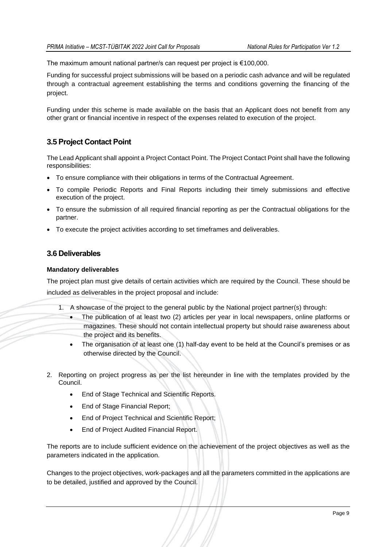The maximum amount national partner/s can request per project is €100,000.

Funding for successful project submissions will be based on a periodic cash advance and will be regulated through a contractual agreement establishing the terms and conditions governing the financing of the project.

Funding under this scheme is made available on the basis that an Applicant does not benefit from any other grant or financial incentive in respect of the expenses related to execution of the project.

# <span id="page-9-0"></span>**3.5 Project Contact Point**

The Lead Applicant shall appoint a Project Contact Point. The Project Contact Point shall have the following responsibilities:

- To ensure compliance with their obligations in terms of the Contractual Agreement.
- To compile Periodic Reports and Final Reports including their timely submissions and effective execution of the project.
- To ensure the submission of all required financial reporting as per the Contractual obligations for the partner.
- To execute the project activities according to set timeframes and deliverables.

### <span id="page-9-1"></span>**3.6 Deliverables**

#### **Mandatory deliverables**

The project plan must give details of certain activities which are required by the Council. These should be included as deliverables in the project proposal and include:

- 1. A showcase of the project to the general public by the National project partner(s) through:
	- The publication of at least two (2) articles per year in local newspapers, online platforms or magazines. These should not contain intellectual property but should raise awareness about the project and its benefits.
	- The organisation of at least one (1) half-day event to be held at the Council's premises or as otherwise directed by the Council.
- 2. Reporting on project progress as per the list hereunder in line with the templates provided by the Council.
	- End of Stage Technical and Scientific Reports.
	- End of Stage Financial Report;
	- End of Project Technical and Scientific Report;
	- End of Project Audited Financial Report.

The reports are to include sufficient evidence on the achievement of the project objectives as well as the parameters indicated in the application.

Changes to the project objectives, work-packages and all the parameters committed in the applications are to be detailed, justified and approved by the Council.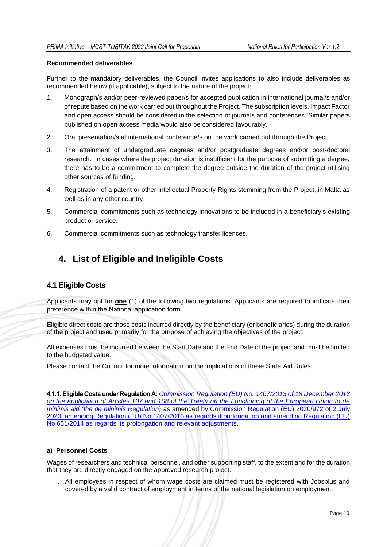#### **Recommended deliverables**

Further to the mandatory deliverables, the Council invites applications to also include deliverables as recommended below (if applicable), subject to the nature of the project:

- 1. Monograph/s and/or peer-reviewed paper/s for accepted publication in international journal/s and/or of repute based on the work carried out throughout the Project. The subscription levels, Impact Factor and open access should be considered in the selection of journals and conferences. Similar papers published on open access media would also be considered favourably.
- 2. Oral presentation/s at international conference/s on the work carried out through the Project.
- 3. The attainment of undergraduate degrees and/or postgraduate degrees and/or post-doctoral research. In cases where the project duration is insufficient for the purpose of submitting a degree, there has to be a commitment to complete the degree outside the duration of the project utilising other sources of funding.
- 4. Registration of a patent or other Intellectual Property Rights stemming from the Project, in Malta as well as in any other country.
- 5. Commercial commitments such as technology innovations to be included in a beneficiary's existing product or service.
- 6. Commercial commitments such as technology transfer licences.

# <span id="page-10-0"></span>**4. List of Eligible and Ineligible Costs**

# <span id="page-10-1"></span>**4.1 Eligible Costs**

Applicants may opt for **one** (1) of the following two regulations. Applicants are required to indicate their preference within the National application form.

Eligible direct costs are those costs incurred directly by the beneficiary (or beneficiaries) during the duration of the project and used primarily for the purpose of achieving the objectives of the project.

All expenses must be incurred between the Start Date and the End Date of the project and must be limited to the budgeted value.

Please contact the Council for more information on the implications of these State Aid Rules.

**4.1.1. Eligible Costs under RegulationA:** *[Commission Regulation \(EU\) No. 1407/2013 of 18 December 2013](http://ec.europa.eu/competition/state_aid/legislation/de_minimis_regulation_en.pdf)  [on the application of Articles 107 and 108 of the Treaty on the Functioning of the European Union to de](http://ec.europa.eu/competition/state_aid/legislation/de_minimis_regulation_en.pdf)  [minimis aid \(the de minimis Regulation\)](http://ec.europa.eu/competition/state_aid/legislation/de_minimis_regulation_en.pdf)* as amended by [Commission Regulation \(EU\) 2020/972 of 2](https://eur-lex.europa.eu/legal-content/EN/TXT/PDF/?uri=CELEX:32020R0972&from=EN) July [2020, amending Regulation \(EU\) No 1407/2013 as regards it prolongation and amending Regulation \(EU\)](https://eur-lex.europa.eu/legal-content/EN/TXT/PDF/?uri=CELEX:32020R0972&from=EN)  [No 651/2014 as regards its prolongation and relevant adjustments.](https://eur-lex.europa.eu/legal-content/EN/TXT/PDF/?uri=CELEX:32020R0972&from=EN)

#### **a) Personnel Costs**

Wages of researchers and technical personnel, and other supporting staff, to the extent and for the duration that they are directly engaged on the approved research project.

i. All employees in respect of whom wage costs are claimed must be registered with Jobsplus and covered by a valid contract of employment in terms of the national legislation on employment.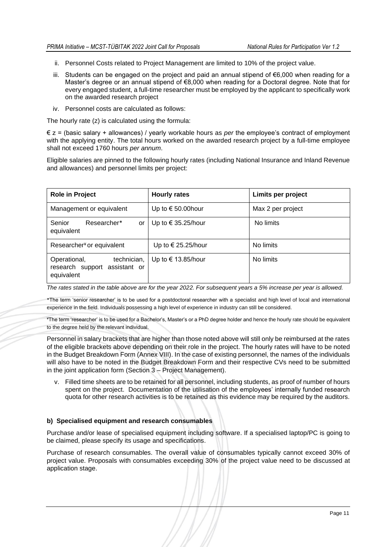- ii. Personnel Costs related to Project Management are limited to 10% of the project value.
- iii. Students can be engaged on the project and paid an annual stipend of €6,000 when reading for a Master's degree or an annual stipend of €8,000 when reading for a Doctoral degree. Note that for every engaged student, a full-time researcher must be employed by the applicant to specifically work on the awarded research project
- iv. Personnel costs are calculated as follows:

The hourly rate (z) is calculated using the formula:

€ z = (basic salary + allowances) / yearly workable hours as *per* the employee's contract of employment with the applying entity. The total hours worked on the awarded research project by a full-time employee shall not exceed 1760 hours *per annum*.

Eligible salaries are pinned to the following hourly rates (including National Insurance and Inland Revenue and allowances) and personnel limits per project:

| <b>Role in Project</b>                                                     | <b>Hourly rates</b>         | Limits per project |
|----------------------------------------------------------------------------|-----------------------------|--------------------|
| Management or equivalent                                                   | Up to $\epsilon$ 50.00 hour | Max 2 per project  |
| Senior<br>Researcher*<br>or<br>equivalent                                  | Up to $\in$ 35.25/hour      | No limits          |
| Researcher <sup>¥</sup> or equivalent                                      | Up to $\in$ 25.25/hour      | No limits          |
| technician,<br>Operational,<br>research support assistant or<br>equivalent | Up to € 13.85/hour          | No limits          |

*The rates stated in the table above are for the year 2022. For subsequent years a 5% increase per year is allowed.* 

\*The term 'senior researcher' is to be used for a postdoctoral researcher with a specialist and high level of local and international experience in the field. Individuals possessing a high level of experience in industry can still be considered.

¥The term 'researcher' is to be used for a Bachelor's, Master's or a PhD degree holder and hence the hourly rate should be equivalent to the degree held by the relevant individual.

Personnel in salary brackets that are higher than those noted above will still only be reimbursed at the rates of the eligible brackets above depending on their role in the project. The hourly rates will have to be noted in the Budget Breakdown Form (Annex VIII). In the case of existing personnel, the names of the individuals will also have to be noted in the Budget Breakdown Form and their respective CVs need to be submitted in the joint application form (Section 3 – Project Management).

v. Filled time sheets are to be retained for all personnel, including students, as proof of number of hours spent on the project. Documentation of the utilisation of the employees' internally funded research quota for other research activities is to be retained as this evidence may be required by the auditors.

#### **b) Specialised equipment and research consumables**

Purchase and/or lease of specialised equipment including software. If a specialised laptop/PC is going to be claimed, please specify its usage and specifications.

Purchase of research consumables. The overall value of consumables typically cannot exceed 30% of project value. Proposals with consumables exceeding 30% of the project value need to be discussed at application stage.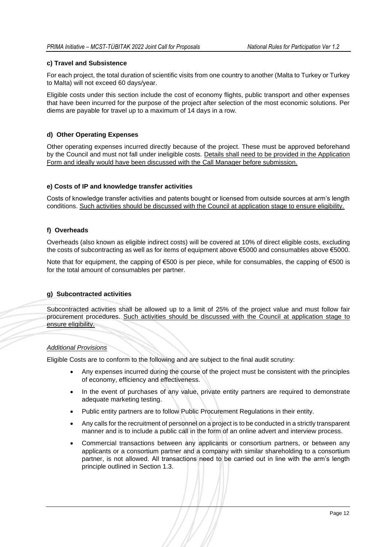#### **c) Travel and Subsistence**

For each project, the total duration of scientific visits from one country to another (Malta to Turkey or Turkey to Malta) will not exceed 60 days/year.

Eligible costs under this section include the cost of economy flights, public transport and other expenses that have been incurred for the purpose of the project after selection of the most economic solutions. Per diems are payable for travel up to a maximum of 14 days in a row.

#### **d) Other Operating Expenses**

Other operating expenses incurred directly because of the project. These must be approved beforehand by the Council and must not fall under ineligible costs. Details shall need to be provided in the Application Form and ideally would have been discussed with the Call Manager before submission.

#### **e) Costs of IP and knowledge transfer activities**

Costs of knowledge transfer activities and patents bought or licensed from outside sources at arm's length conditions. Such activities should be discussed with the Council at application stage to ensure eligibility.

#### **f) Overheads**

Overheads (also known as eligible indirect costs) will be covered at 10% of direct eligible costs, excluding the costs of subcontracting as well as for items of equipment above €5000 and consumables above €5000.

Note that for equipment, the capping of €500 is per piece, while for consumables, the capping of €500 is for the total amount of consumables per partner.

#### **g) Subcontracted activities**

Subcontracted activities shall be allowed up to a limit of 25% of the project value and must follow fair procurement procedures. Such activities should be discussed with the Council at application stage to ensure eligibility.

#### *Additional Provisions*

Eligible Costs are to conform to the following and are subject to the final audit scrutiny:

- Any expenses incurred during the course of the project must be consistent with the principles of economy, efficiency and effectiveness.
- In the event of purchases of any value, private entity partners are required to demonstrate adequate marketing testing.
- Public entity partners are to follow Public Procurement Regulations in their entity.
- Any calls for the recruitment of personnel on a project is to be conducted in a strictly transparent manner and is to include a public call in the form of an online advert and interview process.
- Commercial transactions between any applicants or consortium partners, or between any applicants or a consortium partner and a company with similar shareholding to a consortium partner, is not allowed. All transactions need to be carried out in line with the arm's length principle outlined in Section 1.3.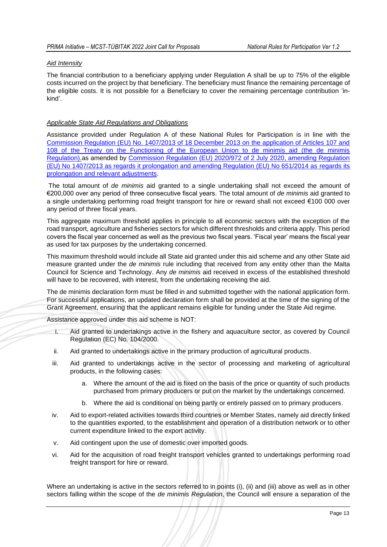#### *Aid Intensity*

The financial contribution to a beneficiary applying under Regulation A shall be up to 75% of the eligible costs incurred on the project by that beneficiary. The beneficiary must finance the remaining percentage of the eligible costs. It is not possible for a Beneficiary to cover the remaining percentage contribution 'inkind'.

#### *Applicable State Aid Regulations and Obligations*

Assistance provided under Regulation A of these National Rules for Participation is in line with the [Commission Regulation \(EU\) No. 1407/2013 of 18 December 2013 on the application of Articles 107 and](http://ec.europa.eu/competition/state_aid/legislation/de_minimis_regulation_en.pdf)  [108 of the Treaty on the Functioning of the European Union to de minimis aid \(the de minimis](http://ec.europa.eu/competition/state_aid/legislation/de_minimis_regulation_en.pdf)  [Regulation\).a](http://ec.europa.eu/competition/state_aid/legislation/de_minimis_regulation_en.pdf)s amended by [Commission Regulation \(EU\) 2020/972 of 2 July 2020, amending Regulation](https://eur-lex.europa.eu/legal-content/EN/TXT/PDF/?uri=CELEX:32020R0972&from=EN)  [\(EU\) No 1407/2013 as regards it prolongation and amending Regulation \(EU\) No 651/2014 as regards its](https://eur-lex.europa.eu/legal-content/EN/TXT/PDF/?uri=CELEX:32020R0972&from=EN)  [prolongation and relevant adjustments.](https://eur-lex.europa.eu/legal-content/EN/TXT/PDF/?uri=CELEX:32020R0972&from=EN)

The total amount of *de minimis* aid granted to a single undertaking shall not exceed the amount of €200,000 over any period of three consecutive fiscal years. The total amount of *de minimis* aid granted to a single undertaking performing road freight transport for hire or reward shall not exceed €100 000 over any period of three fiscal years.

This aggregate maximum threshold applies in principle to all economic sectors with the exception of the road transport, agriculture and fisheries sectors for which different thresholds and criteria apply. This period covers the fiscal year concerned as well as the previous two fiscal years. 'Fiscal year' means the fiscal year as used for tax purposes by the undertaking concerned.

This maximum threshold would include all State aid granted under this aid scheme and any other State aid measure granted under the *de minimis* rule including that received from any entity other than the Malta Council for Science and Technology. Any *de minimis* aid received in excess of the established threshold will have to be recovered, with interest, from the undertaking receiving the aid.

The de minimis declaration form must be filled in and submitted together with the national application form. For successful applications, an updated declaration form shall be provided at the time of the signing of the Grant Agreement, ensuring that the applicant remains eligible for funding under the State Aid regime.

Assistance approved under this aid scheme is NOT:

- i. Aid granted to undertakings active in the fishery and aquaculture sector, as covered by Council Regulation (EC) No. 104/2000.
- ii. Aid granted to undertakings active in the primary production of agricultural products.
- iii. Aid granted to undertakings active in the sector of processing and marketing of agricultural products, in the following cases:
	- a. Where the amount of the aid is fixed on the basis of the price or quantity of such products purchased from primary producers or put on the market by the undertakings concerned.
	- b. Where the aid is conditional on being partly or entirely passed on to primary producers.
- iv. Aid to export-related activities towards third countries or Member States, namely aid directly linked to the quantities exported, to the establishment and operation of a distribution network or to other current expenditure linked to the export activity.
- v. Aid contingent upon the use of domestic over imported goods.
- vi. Aid for the acquisition of road freight transport vehicles granted to undertakings performing road freight transport for hire or reward.

Where an undertaking is active in the sectors referred to in points (i), (ii) and (iii) above as well as in other sectors falling within the scope of the *de minimis Regulation*, the Council will ensure a separation of the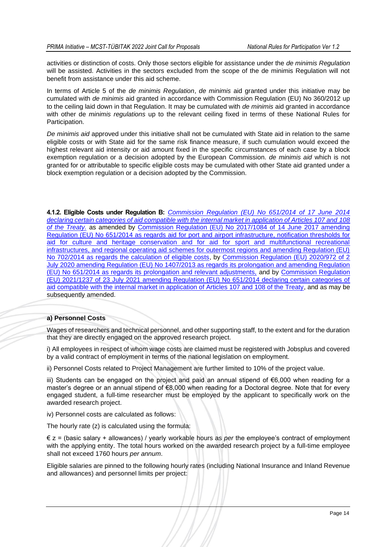activities or distinction of costs. Only those sectors eligible for assistance under the *de minimis Regulation* will be assisted. Activities in the sectors excluded from the scope of the de minimis Regulation will not benefit from assistance under this aid scheme.

In terms of Article 5 of the *de minimis Regulation*, *de minimis* aid granted under this initiative may be cumulated with *de minimis* aid granted in accordance with Commission Regulation (EU) No 360/2012 up to the ceiling laid down in that Regulation. It may be cumulated with *de minimis* aid granted in accordance with other de *minimis regulations* up to the relevant ceiling fixed in terms of these National Rules for Participation.

*De minimis aid* approved under this initiative shall not be cumulated with State aid in relation to the same eligible costs or with State aid for the same risk finance measure, if such cumulation would exceed the highest relevant aid intensity or aid amount fixed in the specific circumstances of each case by a block exemption regulation or a decision adopted by the European Commission. *de minimis aid* which is not granted for or attributable to specific eligible costs may be cumulated with other State aid granted under a block exemption regulation or a decision adopted by the Commission.

**4.1.2. Eligible Costs under Regulation B:** *[Commission Regulation \(EU\) No 651/2014 of 17 June 2014](https://eur-lex.europa.eu/legal-content/EN/TXT/PDF/?uri=CELEX:32014R0651&from=EN)  [declaring certain categories of aid compatible with the internal market in application of Articles 107 and](https://eur-lex.europa.eu/legal-content/EN/TXT/PDF/?uri=CELEX:32014R0651&from=EN) 108 [of the Treaty.](https://eur-lex.europa.eu/legal-content/EN/TXT/PDF/?uri=CELEX:32014R0651&from=EN)* as amended by [Commission Regulation \(EU\) No 2017/1084 of 14 June 2017 amending](https://eur-lex.europa.eu/legal-content/EN/TXT/PDF/?uri=CELEX:32017R1084&from=EN)  [Regulation \(EU\) No 651/2014 as regards aid for port and airport infrastructure, notification thresholds for](https://eur-lex.europa.eu/legal-content/EN/TXT/PDF/?uri=CELEX:32017R1084&from=EN)  [aid for culture and heritage conservation and for aid for sport and multifunctional recreational](https://eur-lex.europa.eu/legal-content/EN/TXT/PDF/?uri=CELEX:32017R1084&from=EN)  [infrastructures, and regional operating aid schemes for outermost regions and amending Regulation \(EU\)](https://eur-lex.europa.eu/legal-content/EN/TXT/PDF/?uri=CELEX:32017R1084&from=EN)  [No 702/2014 as regards the calculation of eligible costs,](https://eur-lex.europa.eu/legal-content/EN/TXT/PDF/?uri=CELEX:32017R1084&from=EN) by [Commission Regulation \(EU\) 2020/972 of 2](https://eur-lex.europa.eu/legal-content/EN/TXT/PDF/?uri=CELEX:32020R0972&from=EN)  [July 2020 amending Regulation \(EU\) No 1407/2013 as regards its prolongation and amending Regulation](https://eur-lex.europa.eu/legal-content/EN/TXT/PDF/?uri=CELEX:32020R0972&from=EN)  [\(EU\) No 651/2014 as regards its prolongation and relevant adjustments,](https://eur-lex.europa.eu/legal-content/EN/TXT/PDF/?uri=CELEX:32020R0972&from=EN) and by [Commission](https://eur-lex.europa.eu/legal-content/EN/TXT/PDF/?uri=CELEX:32021R1237&from=EN) Regulation [\(EU\) 2021/1237 of 23 July 2021 amending Regulation \(EU\) No 651/2014 declaring certain categories of](https://eur-lex.europa.eu/legal-content/EN/TXT/PDF/?uri=CELEX:32021R1237&from=EN)  [aid compatible with the internal market in application of Articles 107 and 108 of the Treaty,](https://eur-lex.europa.eu/legal-content/EN/TXT/PDF/?uri=CELEX:32021R1237&from=EN) and as may be subsequently amended.

#### **a) Personnel Costs**

Wages of researchers and technical personnel, and other supporting staff, to the extent and for the duration that they are directly engaged on the approved research project.

i) All employees in respect of whom wage costs are claimed must be registered with Jobsplus and covered by a valid contract of employment in terms of the national legislation on employment.

ii) Personnel Costs related to Project Management are further limited to 10% of the project value.

iii) Students can be engaged on the project and paid an annual stipend of €6,000 when reading for a master's degree or an annual stipend of €8,000 when reading for a Doctoral degree. Note that for every engaged student, a full-time researcher must be employed by the applicant to specifically work on the awarded research project.

iv) Personnel costs are calculated as follows:

The hourly rate (z) is calculated using the formula:

€ z = (basic salary + allowances) / yearly workable hours as *per* the employee's contract of employment with the applying entity. The total hours worked on the awarded research project by a full-time employee shall not exceed 1760 hours *per annum*.

Eligible salaries are pinned to the following hourly rates (including National Insurance and Inland Revenue and allowances) and personnel limits per project: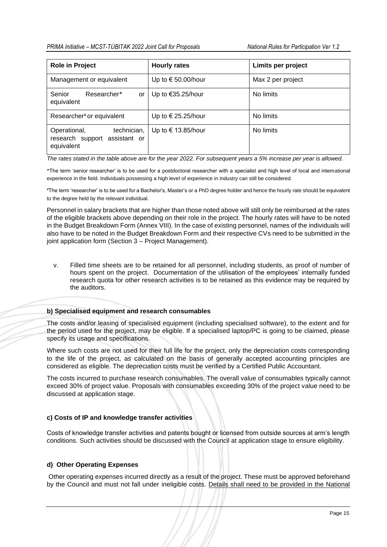| <b>Role in Project</b>                                                     | <b>Hourly rates</b>         | Limits per project |
|----------------------------------------------------------------------------|-----------------------------|--------------------|
| Management or equivalent                                                   | Up to $\epsilon$ 50.00/hour | Max 2 per project  |
| Senior<br>Researcher*<br>or<br>equivalent                                  | Up to $€35.25/hour$         | No limits          |
| Researcher <sup>¥</sup> or equivalent                                      | Up to $\in$ 25.25/hour      | No limits          |
| technician,<br>Operational,<br>research support assistant or<br>equivalent | Up to $\in$ 13.85/hour      | No limits          |

*The rates stated in the table above are for the year 2022. For subsequent years a 5% increase per year is allowed.* 

\*The term 'senior researcher' is to be used for a postdoctoral researcher with a specialist and high level of local and international experience in the field. Individuals possessing a high level of experience in industry can still be considered.

¥The term 'researcher' is to be used for a Bachelor's, Master's or a PhD degree holder and hence the hourly rate should be equivalent to the degree held by the relevant individual.

Personnel in salary brackets that are higher than those noted above will still only be reimbursed at the rates of the eligible brackets above depending on their role in the project. The hourly rates will have to be noted in the Budget Breakdown Form (Annex VIII). In the case of existing personnel, names of the individuals will also have to be noted in the Budget Breakdown Form and their respective CVs need to be submitted in the joint application form (Section 3 – Project Management).

v. Filled time sheets are to be retained for all personnel, including students, as proof of number of hours spent on the project. Documentation of the utilisation of the employees' internally funded research quota for other research activities is to be retained as this evidence may be required by the auditors.

#### **b) Specialised equipment and research consumables**

The costs and/or leasing of specialised equipment (including specialised software), to the extent and for the period used for the project, may be eligible. If a specialised laptop/PC is going to be claimed, please specify its usage and specifications.

Where such costs are not used for their full life for the project, only the depreciation costs corresponding to the life of the project, as calculated on the basis of generally accepted accounting principles are considered as eligible. The depreciation costs must be verified by a Certified Public Accountant.

The costs incurred to purchase research consumables. The overall value of consumables typically cannot exceed 30% of project value. Proposals with consumables exceeding 30% of the project value need to be discussed at application stage.

#### **c) Costs of IP and knowledge transfer activities**

Costs of knowledge transfer activities and patents bought or licensed from outside sources at arm's length conditions. Such activities should be discussed with the Council at application stage to ensure eligibility.

#### **d) Other Operating Expenses**

Other operating expenses incurred directly as a result of the project. These must be approved beforehand by the Council and must not fall under ineligible costs. Details shall need to be provided in the National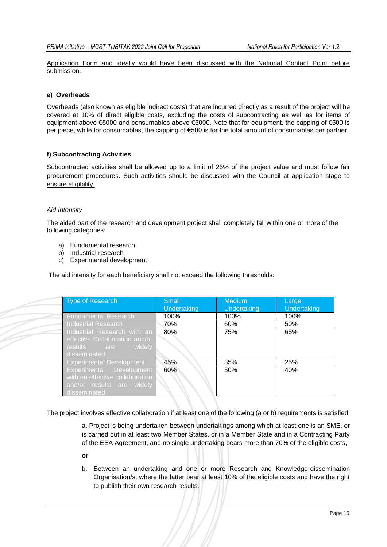Application Form and ideally would have been discussed with the National Contact Point before submission.

#### **e) Overheads**

Overheads (also known as eligible indirect costs) that are incurred directly as a result of the project will be covered at 10% of direct eligible costs, excluding the costs of subcontracting as well as for items of equipment above €5000 and consumables above €5000. Note that for equipment, the capping of €500 is per piece, while for consumables, the capping of €500 is for the total amount of consumables per partner.

#### **f) Subcontracting Activities**

Subcontracted activities shall be allowed up to a limit of 25% of the project value and must follow fair procurement procedures. Such activities should be discussed with the Council at application stage to ensure eligibility.

#### *Aid Intensity*

The aided part of the research and development project shall completely fall within one or more of the following categories:

- a) Fundamental research
- b) Industrial research
- c) Experimental development

The aid intensity for each beneficiary shall not exceed the following thresholds:

| <b>Type of Research</b>                                                                                  | <b>Small</b><br>Undertaking | <b>Medium</b><br>Undertaking | Large<br><b>Undertaking</b> |
|----------------------------------------------------------------------------------------------------------|-----------------------------|------------------------------|-----------------------------|
| <b>Fundamental Research</b>                                                                              | 100%                        | 100%                         | 100%                        |
| Industrial Research                                                                                      | 70%                         | 60%                          | 50%                         |
| Industrial Research with an                                                                              | 80%                         | 75%                          | 65%                         |
| effective Collaboration and/or<br>widely<br>results are<br>disseminated                                  |                             |                              |                             |
| <b>Experimental Development</b>                                                                          | 45%                         | 35%                          | 25%                         |
| Experimental Development<br>with an effective collaboration<br>and/or results are widely<br>disseminated | 60%                         | 50%                          | 40%                         |

The project involves effective collaboration if at least one of the following (a or b) requirements is satisfied:

a. Project is being undertaken between undertakings among which at least one is an SME, or is carried out in at least two Member States, or in a Member State and in a Contracting Party of the EEA Agreement, and no single undertaking bears more than 70% of the eligible costs,

- **or**
- b. Between an undertaking and one or more Research and Knowledge-dissemination Organisation/s, where the latter bear at least 10% of the eligible costs and have the right to publish their own research results.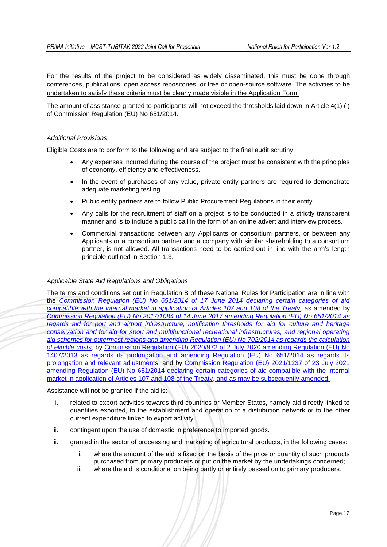For the results of the project to be considered as widely disseminated, this must be done through conferences, publications, open access repositories, or free or open-source software. The activities to be undertaken to satisfy these criteria must be clearly made visible in the Application Form.

The amount of assistance granted to participants will not exceed the thresholds laid down in Article 4(1) (i) of Commission Regulation (EU) No 651/2014.

#### *Additional Provisions*

Eligible Costs are to conform to the following and are subject to the final audit scrutiny:

- Any expenses incurred during the course of the project must be consistent with the principles of economy, efficiency and effectiveness.
- In the event of purchases of any value, private entity partners are required to demonstrate adequate marketing testing.
- Public entity partners are to follow Public Procurement Regulations in their entity.
- Any calls for the recruitment of staff on a project is to be conducted in a strictly transparent manner and is to include a public call in the form of an online advert and interview process.
- Commercial transactions between any Applicants or consortium partners, or between any Applicants or a consortium partner and a company with similar shareholding to a consortium partner, is not allowed. All transactions need to be carried out in line with the arm's length principle outlined in Section 1.3.

#### *Applicable State Aid Regulations and Obligations*

The terms and conditions set out in Regulation B of these National Rules for Participation are in line with the *[Commission Regulation \(EU\) No 651/2014 of 17 June 2014 declaring certain categories of aid](https://eur-lex.europa.eu/legal-content/EN/TXT/PDF/?uri=CELEX:32014R0651&from=EN)  [compatible with the internal market in application of Articles 107 and 108 of the Treaty,](https://eur-lex.europa.eu/legal-content/EN/TXT/PDF/?uri=CELEX:32014R0651&from=EN)* as amended by *[Commission Regulation \(EU\) No 2017/1084 of 14 June 2017 amending Regulation \(EU\) No 651/2014 as](https://eur-lex.europa.eu/legal-content/EN/TXT/PDF/?uri=CELEX:32017R1084&from=EN)  [regards aid for port and airport infrastructure, notification thresholds for aid for culture and heritage](https://eur-lex.europa.eu/legal-content/EN/TXT/PDF/?uri=CELEX:32017R1084&from=EN)  [conservation and for aid for sport and multifunctional recreational infrastructures, and regional operating](https://eur-lex.europa.eu/legal-content/EN/TXT/PDF/?uri=CELEX:32017R1084&from=EN)  aid [schemes for outermost regions and amending Regulation \(EU\) No 702/2014 as regards the calculation](https://eur-lex.europa.eu/legal-content/EN/TXT/PDF/?uri=CELEX:32017R1084&from=EN)  [of eligible costs,](https://eur-lex.europa.eu/legal-content/EN/TXT/PDF/?uri=CELEX:32017R1084&from=EN)* [by Commission Regulation \(EU\) 2020/972 of 2 July 2020 amending Regulation \(EU\) No](https://eur-lex.europa.eu/legal-content/EN/TXT/PDF/?uri=CELEX:32020R0972&from=EN)  [1407/2013 as regards its prolongation and amending Regulation \(EU\) No 651/2014 as regards its](https://eur-lex.europa.eu/legal-content/EN/TXT/PDF/?uri=CELEX:32020R0972&from=EN)  prolongation and relevant adjustments, [and by Commission Regulation \(EU\) 2021/1237 of 23 July 2021](https://eur-lex.europa.eu/legal-content/EN/TXT/PDF/?uri=CELEX:32020R0972&from=EN)  [amending Regulation \(EU\) No 651/2014 declaring certain categories of aid compatible with the internal](https://eur-lex.europa.eu/legal-content/EN/TXT/PDF/?uri=CELEX:32020R0972&from=EN)  [market in application of Articles 107 and 108 of the Treaty,](https://eur-lex.europa.eu/legal-content/EN/TXT/PDF/?uri=CELEX:32021R1237&from=EN) and as may be subsequently amended.

#### Assistance will not be granted if the aid is:

- i. related to export activities towards third countries or Member States, namely aid directly linked to quantities exported, to the establishment and operation of a distribution network or to the other current expenditure linked to export activity.
- ii. contingent upon the use of domestic in preference to imported goods.
- iii. granted in the sector of processing and marketing of agricultural products, in the following cases:
	- i. where the amount of the aid is fixed on the basis of the price or quantity of such products purchased from primary producers or put on the market by the undertakings concerned;
	- ii. where the aid is conditional on being partly or entirely passed on to primary producers.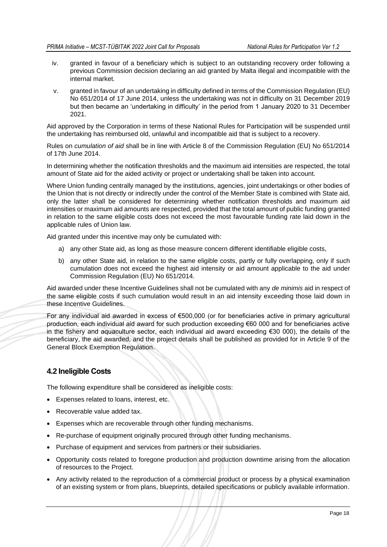- iv. granted in favour of a beneficiary which is subject to an outstanding recovery order following a previous Commission decision declaring an aid granted by Malta illegal and incompatible with the internal market.
- v. granted in favour of an undertaking in difficulty defined in terms of the Commission Regulation (EU) No 651/2014 of 17 June 2014, unless the undertaking was not in difficulty on 31 December 2019 but then became an 'undertaking in difficulty' in the period from 1 January 2020 to 31 December 2021.

Aid approved by the Corporation in terms of these National Rules for Participation will be suspended until the undertaking has reimbursed old, unlawful and incompatible aid that is subject to a recovery.

Rules on *cumulation of aid* shall be in line with Article 8 of the Commission Regulation (EU) No 651/2014 of 17th June 2014.

In determining whether the notification thresholds and the maximum aid intensities are respected, the total amount of State aid for the aided activity or project or undertaking shall be taken into account.

Where Union funding centrally managed by the institutions, agencies, joint undertakings or other bodies of the Union that is not directly or indirectly under the control of the Member State is combined with State aid, only the latter shall be considered for determining whether notification thresholds and maximum aid intensities or maximum aid amounts are respected, provided that the total amount of public funding granted in relation to the same eligible costs does not exceed the most favourable funding rate laid down in the applicable rules of Union law.

Aid granted under this incentive may only be cumulated with:

- a) any other State aid, as long as those measure concern different identifiable eligible costs,
- b) any other State aid, in relation to the same eligible costs, partly or fully overlapping, only if such cumulation does not exceed the highest aid intensity or aid amount applicable to the aid under Commission Regulation (EU) No 651/2014.

Aid awarded under these Incentive Guidelines shall not be cumulated with any *de minimis* aid in respect of the same eligible costs if such cumulation would result in an aid intensity exceeding those laid down in these Incentive Guidelines.

For any individual aid awarded in excess of €500,000 (or for beneficiaries active in primary agricultural production, each individual aid award for such production exceeding €60 000 and for beneficiaries active in the fishery and aquaculture sector, each individual aid award exceeding €30 000), the details of the beneficiary, the aid awarded, and the project details shall be published as provided for in Article 9 of the General Block Exemption Regulation.

# <span id="page-18-0"></span>**4.2 Ineligible Costs**

The following expenditure shall be considered as ineligible costs:

- Expenses related to loans, interest, etc.
- Recoverable value added tax.
- Expenses which are recoverable through other funding mechanisms.
- Re-purchase of equipment originally procured through other funding mechanisms.
- Purchase of equipment and services from partners or their subsidiaries.
- Opportunity costs related to foregone production and production downtime arising from the allocation of resources to the Project.
- Any activity related to the reproduction of a commercial product or process by a physical examination of an existing system or from plans, blueprints, detailed specifications or publicly available information.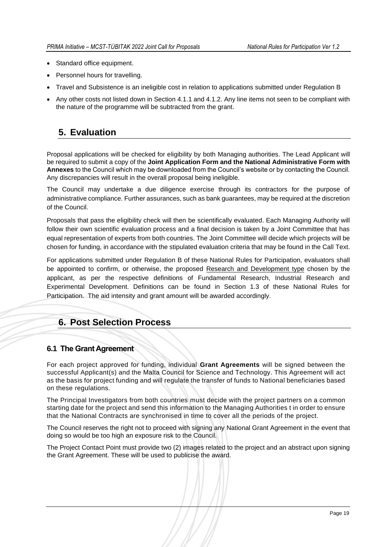- Standard office equipment.
- Personnel hours for travelling.
- Travel and Subsistence is an ineligible cost in relation to applications submitted under Regulation B
- Any other costs not listed down in Section 4.1.1 and 4.1.2. Any line items not seen to be compliant with the nature of the programme will be subtracted from the grant.

# <span id="page-19-0"></span>**5. Evaluation**

Proposal applications will be checked for eligibility by both Managing authorities. The Lead Applicant will be required to submit a copy of the **Joint Application Form and the National Administrative Form with Annexes** to the Council which may be downloaded from the Council's website or by contacting the Council. Any discrepancies will result in the overall proposal being ineligible.

The Council may undertake a due diligence exercise through its contractors for the purpose of administrative compliance. Further assurances, such as bank guarantees, may be required at the discretion of the Council.

Proposals that pass the eligibility check will then be scientifically evaluated. Each Managing Authority will follow their own scientific evaluation process and a final decision is taken by a Joint Committee that has equal representation of experts from both countries. The Joint Committee will decide which projects will be chosen for funding, in accordance with the stipulated evaluation criteria that may be found in the Call Text.

For applications submitted under Regulation B of these National Rules for Participation, evaluators shall be appointed to confirm, or otherwise, the proposed Research and Development type chosen by the applicant, as per the respective definitions of Fundamental Research, Industrial Research and Experimental Development. Definitions can be found in Section 1.3 of these National Rules for Participation. The aid intensity and grant amount will be awarded accordingly.

# <span id="page-19-1"></span>**6. Post Selection Process**

#### <span id="page-19-2"></span>**6.1 The Grant Agreement**

For each project approved for funding, individual **Grant Agreements** will be signed between the successful Applicant(s) and the Malta Council for Science and Technology. This Agreement will act as the basis for project funding and will regulate the transfer of funds to National beneficiaries based on these regulations.

The Principal Investigators from both countries must decide with the project partners on a common starting date for the project and send this information to the Managing Authorities t in order to ensure that the National Contracts are synchronised in time to cover all the periods of the project.

The Council reserves the right not to proceed with signing any National Grant Agreement in the event that doing so would be too high an exposure risk to the Council.

The Project Contact Point must provide two (2) images related to the project and an abstract upon signing the Grant Agreement. These will be used to publicise the award.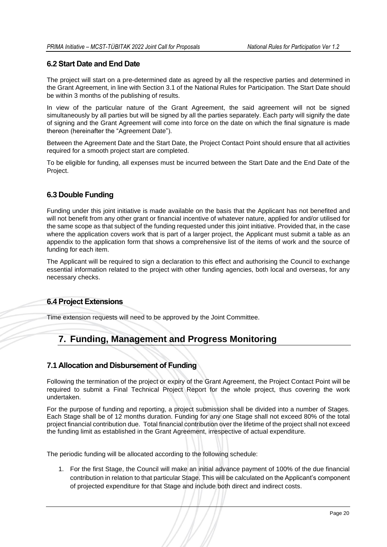# <span id="page-20-0"></span>**6.2 Start Date and End Date**

The project will start on a pre-determined date as agreed by all the respective parties and determined in the Grant Agreement, in line with Section 3.1 of the National Rules for Participation. The Start Date should be within 3 months of the publishing of results.

In view of the particular nature of the Grant Agreement, the said agreement will not be signed simultaneously by all parties but will be signed by all the parties separately. Each party will signify the date of signing and the Grant Agreement will come into force on the date on which the final signature is made thereon (hereinafter the "Agreement Date").

Between the Agreement Date and the Start Date, the Project Contact Point should ensure that all activities required for a smooth project start are completed.

To be eligible for funding, all expenses must be incurred between the Start Date and the End Date of the Project.

# <span id="page-20-1"></span>**6.3 Double Funding**

Funding under this joint initiative is made available on the basis that the Applicant has not benefited and will not benefit from any other grant or financial incentive of whatever nature, applied for and/or utilised for the same scope as that subject of the funding requested under this joint initiative. Provided that, in the case where the application covers work that is part of a larger project, the Applicant must submit a table as an appendix to the application form that shows a comprehensive list of the items of work and the source of funding for each item.

The Applicant will be required to sign a declaration to this effect and authorising the Council to exchange essential information related to the project with other funding agencies, both local and overseas, for any necessary checks.

# **6.4 Project Extensions**

Time extension requests will need to be approved by the Joint Committee.

# <span id="page-20-2"></span>**7. Funding, Management and Progress Monitoring**

# <span id="page-20-3"></span>**7.1 Allocation and Disbursement of Funding**

Following the termination of the project or expiry of the Grant Agreement, the Project Contact Point will be required to submit a Final Technical Project Report for the whole project, thus covering the work undertaken.

For the purpose of funding and reporting, a project submission shall be divided into a number of Stages. Each Stage shall be of 12 months duration. Funding for any one Stage shall not exceed 80% of the total project financial contribution due. Total financial contribution over the lifetime of the project shall not exceed the funding limit as established in the Grant Agreement, irrespective of actual expenditure.

The periodic funding will be allocated according to the following schedule:

1. For the first Stage, the Council will make an initial advance payment of 100% of the due financial contribution in relation to that particular Stage. This will be calculated on the Applicant's component of projected expenditure for that Stage and include both direct and indirect costs.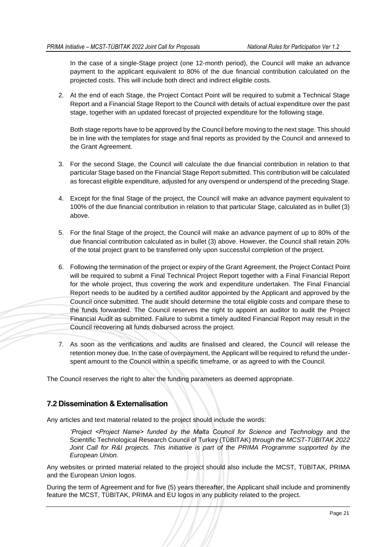In the case of a single-Stage project (one 12-month period), the Council will make an advance payment to the applicant equivalent to 80% of the due financial contribution calculated on the projected costs. This will include both direct and indirect eligible costs.

2. At the end of each Stage, the Project Contact Point will be required to submit a Technical Stage Report and a Financial Stage Report to the Council with details of actual expenditure over the past stage, together with an updated forecast of projected expenditure for the following stage.

Both stage reports have to be approved by the Council before moving to the next stage. This should be in line with the templates for stage and final reports as provided by the Council and annexed to the Grant Agreement.

- 3. For the second Stage, the Council will calculate the due financial contribution in relation to that particular Stage based on the Financial Stage Report submitted. This contribution will be calculated as forecast eligible expenditure, adjusted for any overspend or underspend of the preceding Stage.
- 4. Except for the final Stage of the project, the Council will make an advance payment equivalent to 100% of the due financial contribution in relation to that particular Stage, calculated as in bullet (3) above.
- 5. For the final Stage of the project, the Council will make an advance payment of up to 80% of the due financial contribution calculated as in bullet (3) above. However, the Council shall retain 20% of the total project grant to be transferred only upon successful completion of the project.
- 6. Following the termination of the project or expiry of the Grant Agreement, the Project Contact Point will be required to submit a Final Technical Project Report together with a Final Financial Report for the whole project, thus covering the work and expenditure undertaken. The Final Financial Report needs to be audited by a certified auditor appointed by the Applicant and approved by the Council once submitted. The audit should determine the total eligible costs and compare these to the funds forwarded. The Council reserves the right to appoint an auditor to audit the Project Financial Audit as submitted. Failure to submit a timely audited Financial Report may result in the Council recovering all funds disbursed across the project.
- 7. As soon as the verifications and audits are finalised and cleared, the Council will release the retention money due. In the case of overpayment, the Applicant will be required to refund the underspent amount to the Council within a specific timeframe, or as agreed to with the Council.

The Council reserves the right to alter the funding parameters as deemed appropriate.

# <span id="page-21-0"></span>**7.2 Dissemination & Externalisation**

Any articles and text material related to the project should include the words:

*'Project <Project Name> funded by the Malta Council for Science and Technology* and the Scientific Technological Research Council of Turkey (TÜBITAK) *through the MCST-TÜBITAK 2022 Joint Call for R&I projects. This initiative is part of the PRIMA Programme supported by the European Union.*

Any websites or printed material related to the project should also include the MCST, TÜBİTAK, PRIMA and the European Union logos.

During the term of Agreement and for five (5) years thereafter, the Applicant shall include and prominently feature the MCST, TÜBİTAK, PRIMA and EU logos in any publicity related to the project.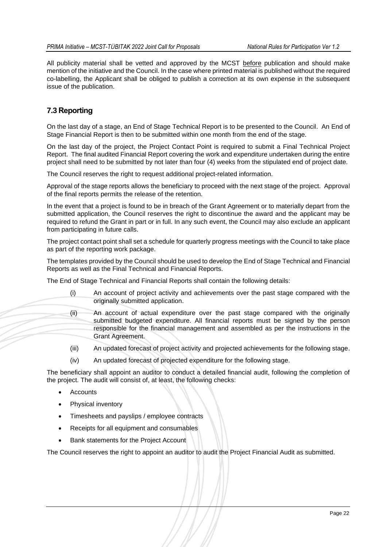All publicity material shall be vetted and approved by the MCST before publication and should make mention of the initiative and the Council. In the case where printed material is published without the required co-labelling, the Applicant shall be obliged to publish a correction at its own expense in the subsequent issue of the publication.

# <span id="page-22-0"></span>**7.3 Reporting**

On the last day of a stage, an End of Stage Technical Report is to be presented to the Council. An End of Stage Financial Report is then to be submitted within one month from the end of the stage.

On the last day of the project, the Project Contact Point is required to submit a Final Technical Project Report. The final audited Financial Report covering the work and expenditure undertaken during the entire project shall need to be submitted by not later than four (4) weeks from the stipulated end of project date.

The Council reserves the right to request additional project-related information.

Approval of the stage reports allows the beneficiary to proceed with the next stage of the project. Approval of the final reports permits the release of the retention.

In the event that a project is found to be in breach of the Grant Agreement or to materially depart from the submitted application, the Council reserves the right to discontinue the award and the applicant may be required to refund the Grant in part or in full. In any such event, the Council may also exclude an applicant from participating in future calls.

The project contact point shall set a schedule for quarterly progress meetings with the Council to take place as part of the reporting work package.

The templates provided by the Council should be used to develop the End of Stage Technical and Financial Reports as well as the Final Technical and Financial Reports.

The End of Stage Technical and Financial Reports shall contain the following details:

- (i) An account of project activity and achievements over the past stage compared with the originally submitted application.
- (ii) An account of actual expenditure over the past stage compared with the originally submitted budgeted expenditure. All financial reports must be signed by the person responsible for the financial management and assembled as per the instructions in the Grant Agreement.
- (iii) An updated forecast of project activity and projected achievements for the following stage.
- (iv) An updated forecast of projected expenditure for the following stage.

The beneficiary shall appoint an auditor to conduct a detailed financial audit, following the completion of the project. The audit will consist of, at least, the following checks:

- **Accounts**
- Physical inventory
- Timesheets and payslips / employee contracts
- Receipts for all equipment and consumables
- Bank statements for the Project Account

The Council reserves the right to appoint an auditor to audit the Project Financial Audit as submitted.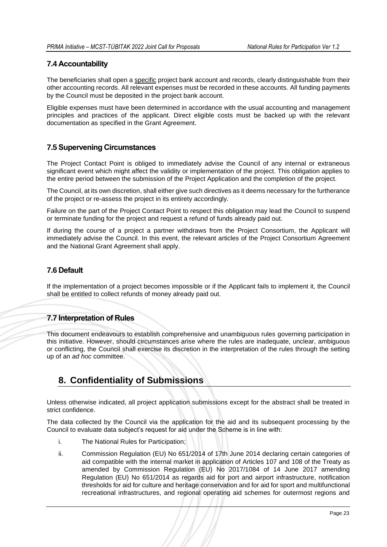# <span id="page-23-0"></span>**7.4 Accountability**

The beneficiaries shall open a specific project bank account and records, clearly distinguishable from their other accounting records. All relevant expenses must be recorded in these accounts. All funding payments by the Council must be deposited in the project bank account.

Eligible expenses must have been determined in accordance with the usual accounting and management principles and practices of the applicant. Direct eligible costs must be backed up with the relevant documentation as specified in the Grant Agreement.

# <span id="page-23-1"></span>**7.5 Supervening Circumstances**

The Project Contact Point is obliged to immediately advise the Council of any internal or extraneous significant event which might affect the validity or implementation of the project. This obligation applies to the entire period between the submission of the Project Application and the completion of the project.

The Council, at its own discretion, shall either give such directives as it deems necessary for the furtherance of the project or re-assess the project in its entirety accordingly.

Failure on the part of the Project Contact Point to respect this obligation may lead the Council to suspend or terminate funding for the project and request a refund of funds already paid out.

If during the course of a project a partner withdraws from the Project Consortium, the Applicant will immediately advise the Council. In this event, the relevant articles of the Project Consortium Agreement and the National Grant Agreement shall apply.

# <span id="page-23-2"></span>**7.6 Default**

If the implementation of a project becomes impossible or if the Applicant fails to implement it, the Council shall be entitled to collect refunds of money already paid out.

# <span id="page-23-3"></span>**7.7 Interpretation of Rules**

This document endeavours to establish comprehensive and unambiguous rules governing participation in this initiative. However, should circumstances arise where the rules are inadequate, unclear, ambiguous or conflicting, the Council shall exercise its discretion in the interpretation of the rules through the setting up of an *ad hoc* committee.

# <span id="page-23-4"></span>**8. Confidentiality of Submissions**

Unless otherwise indicated, all project application submissions except for the abstract shall be treated in strict confidence.

The data collected by the Council via the application for the aid and its subsequent processing by the Council to evaluate data subject's request for aid under the Scheme is in line with:

- i. The National Rules for Participation;
- ii. Commission Regulation (EU) No 651/2014 of 17th June 2014 declaring certain categories of aid compatible with the internal market in application of Articles 107 and 108 of the Treaty as amended by Commission Regulation (EU) No 2017/1084 of 14 June 2017 amending Regulation (EU) No 651/2014 as regards aid for port and airport infrastructure, notification thresholds for aid for culture and heritage conservation and for aid for sport and multifunctional recreational infrastructures, and regional operating aid schemes for outermost regions and